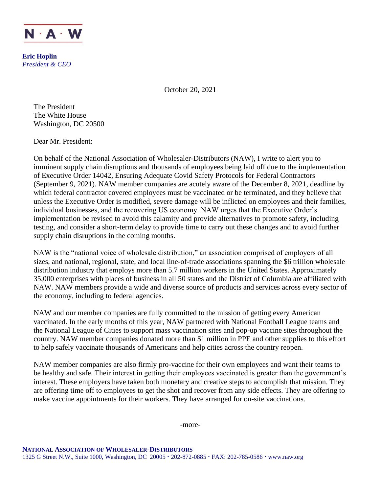

**Eric Hoplin** *President & CEO*

October 20, 2021

The President The White House Washington, DC 20500

Dear Mr. President:

On behalf of the National Association of Wholesaler-Distributors (NAW), I write to alert you to imminent supply chain disruptions and thousands of employees being laid off due to the implementation of Executive Order 14042, Ensuring Adequate Covid Safety Protocols for Federal Contractors (September 9, 2021). NAW member companies are acutely aware of the December 8, 2021, deadline by which federal contractor covered employees must be vaccinated or be terminated, and they believe that unless the Executive Order is modified, severe damage will be inflicted on employees and their families, individual businesses, and the recovering US economy. NAW urges that the Executive Order's implementation be revised to avoid this calamity and provide alternatives to promote safety, including testing, and consider a short-term delay to provide time to carry out these changes and to avoid further supply chain disruptions in the coming months.

NAW is the "national voice of wholesale distribution," an association comprised of employers of all sizes, and national, regional, state, and local line-of-trade associations spanning the \$6 trillion wholesale distribution industry that employs more than 5.7 million workers in the United States. Approximately 35,000 enterprises with places of business in all 50 states and the District of Columbia are affiliated with NAW. NAW members provide a wide and diverse source of products and services across every sector of the economy, including to federal agencies.

NAW and our member companies are fully committed to the mission of getting every American vaccinated. In the early months of this year, NAW partnered with National Football League teams and the National League of Cities to support mass vaccination sites and pop-up vaccine sites throughout the country. NAW member companies donated more than \$1 million in PPE and other supplies to this effort to help safely vaccinate thousands of Americans and help cities across the country reopen.

NAW member companies are also firmly pro-vaccine for their own employees and want their teams to be healthy and safe. Their interest in getting their employees vaccinated is greater than the government's interest. These employers have taken both monetary and creative steps to accomplish that mission. They are offering time off to employees to get the shot and recover from any side effects. They are offering to make vaccine appointments for their workers. They have arranged for on-site vaccinations.

-more-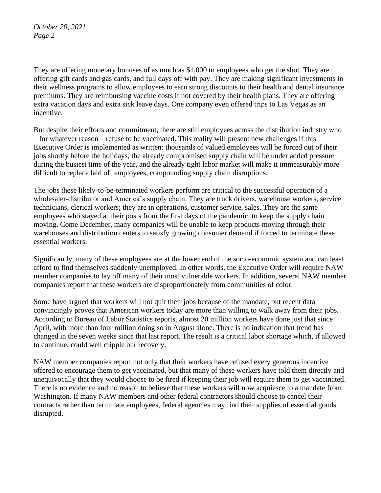*October 20, 2021 Page 2*

They are offering monetary bonuses of as much as \$1,000 to employees who get the shot. They are offering gift cards and gas cards, and full days off with pay. They are making significant investments in their wellness programs to allow employees to earn strong discounts to their health and dental insurance premiums. They are reimbursing vaccine costs if not covered by their health plans. They are offering extra vacation days and extra sick leave days. One company even offered trips to Las Vegas as an incentive.

But despite their efforts and commitment, there are still employees across the distribution industry who – for whatever reason – refuse to be vaccinated. This reality will present new challenges if this Executive Order is implemented as written: thousands of valued employees will be forced out of their jobs shortly before the holidays, the already compromised supply chain will be under added pressure during the busiest time of the year, and the already tight labor market will make it immeasurably more difficult to replace laid off employees, compounding supply chain disruptions.

The jobs these likely-to-be-terminated workers perform are critical to the successful operation of a wholesaler-distributor and America's supply chain. They are truck drivers, warehouse workers, service technicians, clerical workers; they are in operations, customer service, sales. They are the same employees who stayed at their posts from the first days of the pandemic, to keep the supply chain moving. Come December, many companies will be unable to keep products moving through their warehouses and distribution centers to satisfy growing consumer demand if forced to terminate these essential workers.

Significantly, many of these employees are at the lower end of the socio-economic system and can least afford to find themselves suddenly unemployed. In other words, the Executive Order will require NAW member companies to lay off many of their most vulnerable workers. In addition, several NAW member companies report that these workers are disproportionately from communities of color.

Some have argued that workers will not quit their jobs because of the mandate, but recent data convincingly proves that American workers today are more than willing to walk away from their jobs. According to Bureau of Labor Statistics reports, almost 20 million workers have done just that since April, with more than four million doing so in August alone. There is no indication that trend has changed in the seven weeks since that last report. The result is a critical labor shortage which, if allowed to continue, could well cripple our recovery.

NAW member companies report not only that their workers have refused every generous incentive offered to encourage them to get vaccinated, but that many of these workers have told them directly and unequivocally that they would choose to be fired if keeping their job will require them to get vaccinated. There is no evidence and no reason to believe that these workers will now acquiesce to a mandate from Washington. If many NAW members and other federal contractors should choose to cancel their contracts rather than terminate employees, federal agencies may find their supplies of essential goods disrupted.